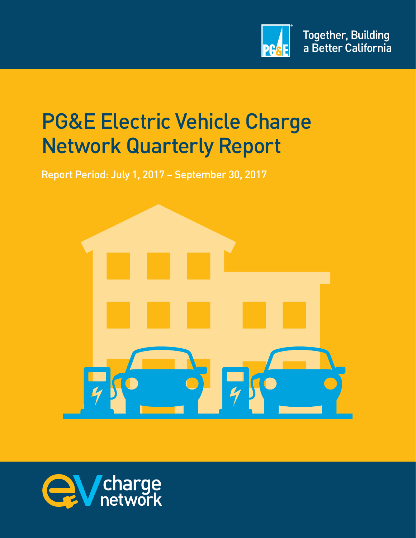

# PG&E Electric Vehicle Charge Network Quarterly Report

Report Period: July 1, 2017 – September 30, 2017



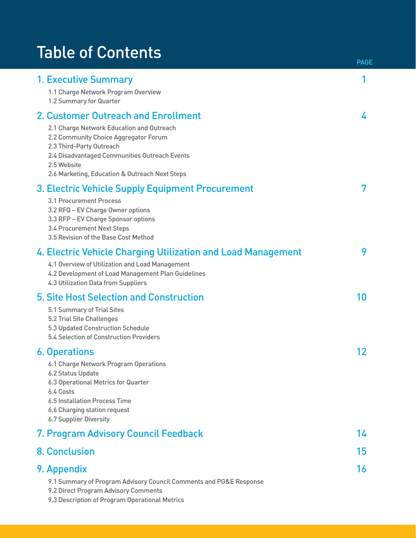# Table of Contents

| <b>1. Executive Summary</b>                                                                                                                                                                                                      |    |
|----------------------------------------------------------------------------------------------------------------------------------------------------------------------------------------------------------------------------------|----|
| 1.1 Charge Network Program Overview<br>1.2 Summary for Quarter                                                                                                                                                                   |    |
| 2. Customer Outreach and Enrollment                                                                                                                                                                                              | 4  |
| 2.1 Charge Network Education and Outreach<br>2.2 Community Choice Aggregator Forum<br>2.3 Third-Party Outreach<br>2.4 Disadvantaged Communities Outreach Events<br>2.5 Website<br>2.6 Marketing, Education & Outreach Next Steps |    |
| 3. Electric Vehicle Supply Equipment Procurement                                                                                                                                                                                 | 7  |
| 3.1 Procurement Process<br>3.2 RFQ - EV Charge Owner options<br>3.3 RFP - EV Charge Sponsor options<br>3.4 Procurement Next Steps<br>3.5 Revision of the Base Cost Method                                                        |    |
| 4. Electric Vehicle Charging Utilization and Load Management                                                                                                                                                                     | 9  |
| 4.1 Overview of Utilization and Load Management<br>4.2 Development of Load Management Plan Guidelines<br>4.3 Utilization Data from Suppliers                                                                                     |    |
| 5. Site Host Selection and Construction                                                                                                                                                                                          | 10 |
| 5.1 Summary of Trial Sites<br>5.2 Trial Site Challenges<br>5.3 Updated Construction Schedule<br>5.4 Selection of Construction Providers                                                                                          |    |
| <b>6. Operations</b>                                                                                                                                                                                                             | 12 |
| 6.1 Charge Network Program Operations<br>6.2 Status Update<br>6.3 Operational Metrics for Quarter<br>6.4 Costs<br>6.5 Installation Process Time<br>6.6 Charging station request<br><b>6.7 Supplier Diversity</b>                 |    |
| 7. Program Advisory Council Feedback                                                                                                                                                                                             | 14 |
| <b>8. Conclusion</b>                                                                                                                                                                                                             | 15 |
| 9. Appendix                                                                                                                                                                                                                      | 16 |
| 9.1 Summary of Program Advisory Council Comments and PG&E Response<br>9.2 Direct Program Advisory Comments<br>9.3 Description of Program Operational Metrics                                                                     |    |

PAGE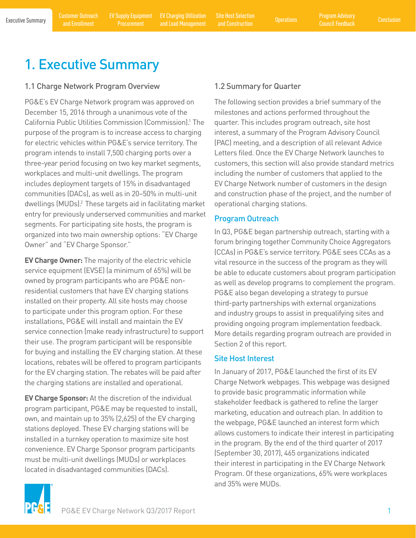# 1. Executive Summary

#### 1.1 Charge Network Program Overview

PG&E's EV Charge Network program was approved on December 15, 2016 through a unanimous vote of the California Public Utilities Commission (Commission).1 The purpose of the program is to increase access to charging for electric vehicles within PG&E's service territory. The program intends to install 7,500 charging ports over a three-year period focusing on two key market segments, workplaces and multi-unit dwellings. The program includes deployment targets of 15% in disadvantaged communities (DACs), as well as in 20–50% in multi-unit dwellings (MUDs).<sup>2</sup> These targets aid in facilitating market entry for previously underserved communities and market segments. For participating site hosts, the program is organized into two main ownership options: "EV Charge Owner" and "EV Charge Sponsor."

**EV Charge Owner:** The majority of the electric vehicle service equipment (EVSE) (a minimum of 65%) will be owned by program participants who are PG&E nonresidential customers that have EV charging stations installed on their property. All site hosts may choose to participate under this program option. For these installations, PG&E will install and maintain the EV service connection (make ready infrastructure) to support their use. The program participant will be responsible for buying and installing the EV charging station. At these locations, rebates will be offered to program participants for the EV charging station. The rebates will be paid after the charging stations are installed and operational.

**EV Charge Sponsor:** At the discretion of the individual program participant, PG&E may be requested to install, own, and maintain up to 35% (2,625) of the EV charging stations deployed. These EV charging stations will be installed in a turnkey operation to maximize site host convenience. EV Charge Sponsor program participants must be multi-unit dwellings (MUDs) or workplaces located in disadvantaged communities (DACs).

### 1.2 Summary for Quarter

The following section provides a brief summary of the milestones and actions performed throughout the quarter. This includes program outreach, site host interest, a summary of the Program Advisory Council (PAC) meeting, and a description of all relevant Advice Letters filed. Once the EV Charge Network launches to customers, this section will also provide standard metrics including the number of customers that applied to the EV Charge Network number of customers in the design and construction phase of the project, and the number of operational charging stations.

#### Program Outreach

In Q3, PG&E began partnership outreach, starting with a forum bringing together Community Choice Aggregators (CCAs) in PG&E's service territory. PG&E sees CCAs as a vital resource in the success of the program as they will be able to educate customers about program participation as well as develop programs to complement the program. PG&E also began developing a strategy to pursue third-party partnerships with external organizations and industry groups to assist in prequalifying sites and providing ongoing program implementation feedback. More details regarding program outreach are provided in Section 2 of this report.

#### Site Host Interest

In January of 2017, PG&E launched the first of its EV Charge Network webpages. This webpage was designed to provide basic programmatic information while stakeholder feedback is gathered to refine the larger marketing, education and outreach plan. In addition to the webpage, PG&E launched an interest form which allows customers to indicate their interest in participating in the program. By the end of the third quarter of 2017 (September 30, 2017), 465 organizations indicated their interest in participating in the EV Charge Network Program. Of these organizations, 65% were workplaces and 35% were MUDs.

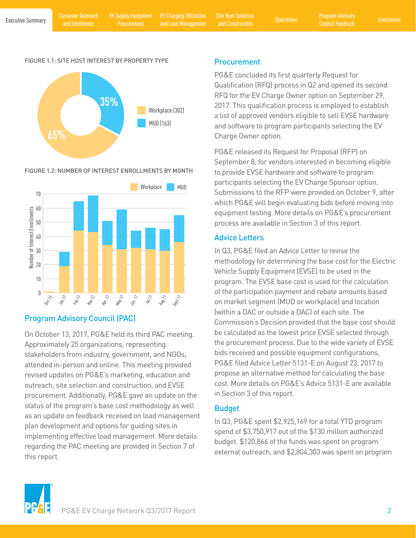EV Supply Equipment **Procurement** 

EV Charging Utilization

Executive Summary Customer Outreach EV Supply Equipment EV Charging Utilization Site Host Selection (Derations Program Advisory Conclusion<br>Executive Summary and Encellment Programment and Load Management and Construction ( EV Charging Utilization Site Host Selection<br>
and Load Management and Construction Construction and Construction

#### FIGURE 1.1: SITE HOST INTEREST BY PROPERTY TYPE



#### FIGURE 1.2: NUMBER OF INTEREST ENROLLMENTS BY MONTH



### Program Advisory Council (PAC)

On October 13, 2017, PG&E held its third PAC meeting. Approximately 25 organizations, representing stakeholders from industry, government, and NGOs, attended in-person and online. This meeting provided revised updates on PG&E's marketing, education and outreach, site selection and construction, and EVSE procurement. Additionally, PG&E gave an update on the status of the program's base cost methodology as well as an update on feedback received on load management plan development and options for guiding sites in implementing effective load management. More details regarding the PAC meeting are provided in Section 7 of this report.

#### **Procurement**

PG&E concluded its first quarterly Request for Qualification (RFQ) process in Q2 and opened its second RFQ for the EV Charge Owner option on September 29, 2017. This qualification process is employed to establish a list of approved vendors eligible to sell EVSE hardware and software to program participants selecting the EV Charge Owner option.

PG&E released its Request for Proposal (RFP) on September 8, for vendors interested in becoming eligible to provide EVSE hardware and software to program participants selecting the EV Charge Sponsor option. Submissions to the RFP were provided on October 9, after which PG&E will begin evaluating bids before moving into equipment testing. More details on PG&E's procurement process are available in Section 3 of this report.

#### Advice Letters

In Q3, PG&E filed an Advice Letter to revise the methodology for determining the base cost for the Electric Vehicle Supply Equipment (EVSE) to be used in the program. The EVSE base cost is used for the calculation of the participation payment and rebate amounts based on market segment (MUD or workplace) and location (within a DAC or outside a DAC) of each site. The Commission's Decision provided that the base cost should be calculated as the lowest price EVSE selected through the procurement process. Due to the wide variety of EVSE bids received and possible equipment configurations, PG&E filed Advice Letter 5131-E on August 23, 2017 to propose an alternative method for calculating the base cost. More details on PG&E's Advice 5131-E are available in Section 3 of this report.

#### Budget

In Q3, PG&E spent \$2,925,169 for a total YTD program spend of \$3,750,917 out of the \$130 million authorized budget. \$120,866 of the funds was spent on program external outreach, and \$2,804,303 was spent on program

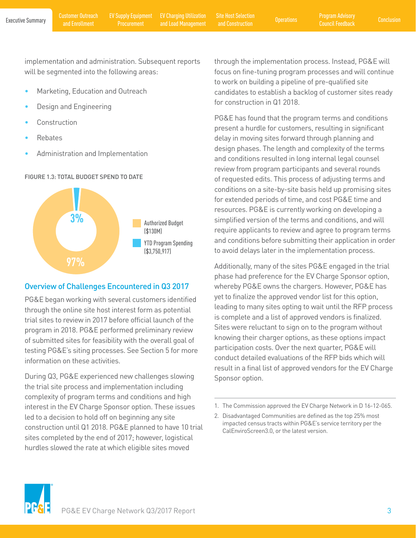implementation and administration. Subsequent reports will be segmented into the following areas:

- Marketing, Education and Outreach
- Design and Engineering
- **Construction**
- Rebates
- Administration and Implementation





### Overview of Challenges Encountered in Q3 2017

PG&E began working with several customers identified through the online site host interest form as potential trial sites to review in 2017 before official launch of the program in 2018. PG&E performed preliminary review of submitted sites for feasibility with the overall goal of testing PG&E's siting processes. See Section 5 for more information on these activities.

During Q3, PG&E experienced new challenges slowing the trial site process and implementation including complexity of program terms and conditions and high interest in the EV Charge Sponsor option. These issues led to a decision to hold off on beginning any site construction until Q1 2018. PG&E planned to have 10 trial sites completed by the end of 2017; however, logistical hurdles slowed the rate at which eligible sites moved

through the implementation process. Instead, PG&E will focus on fine-tuning program processes and will continue to work on building a pipeline of pre-qualified site candidates to establish a backlog of customer sites ready for construction in Q1 2018.

PG&E has found that the program terms and conditions present a hurdle for customers, resulting in significant delay in moving sites forward through planning and design phases. The length and complexity of the terms and conditions resulted in long internal legal counsel review from program participants and several rounds of requested edits. This process of adjusting terms and conditions on a site-by-site basis held up promising sites for extended periods of time, and cost PG&E time and resources. PG&E is currently working on developing a simplified version of the terms and conditions, and will require applicants to review and agree to program terms and conditions before submitting their application in order to avoid delays later in the implementation process.

Additionally, many of the sites PG&E engaged in the trial phase had preference for the EV Charge Sponsor option, whereby PG&E owns the chargers. However, PG&E has yet to finalize the approved vendor list for this option, leading to many sites opting to wait until the RFP process is complete and a list of approved vendors is finalized. Sites were reluctant to sign on to the program without knowing their charger options, as these options impact participation costs. Over the next quarter, PG&E will conduct detailed evaluations of the RFP bids which will result in a final list of approved vendors for the EV Charge Sponsor option.



<sup>1.</sup> The Commission approved the EV Charge Network in D 16-12-065.

<sup>2.</sup> Disadvantaged Communities are defined as the top 25% most impacted census tracts within PG&E's service territory per the CalEnviroScreen3.0, or the latest version.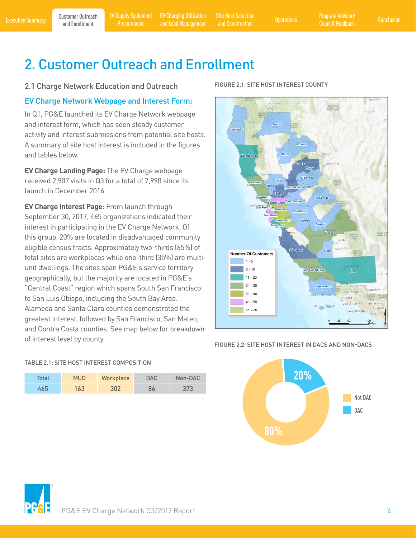and Construction

# 2. Customer Outreach and Enrollment

#### 2.1 Charge Network Education and Outreach

#### EV Charge Network Webpage and Interest Form:

In Q1, PG&E launched its EV Charge Network webpage and interest form, which has seen steady customer activity and interest submissions from potential site hosts. A summary of site host interest is included in the figures and tables below.

**EV Charge Landing Page:** The EV Charge webpage received 2,907 visits in Q3 for a total of 7,990 since its launch in December 2016.

**EV Charge Interest Page:** From launch through September 30, 2017, 465 organizations indicated their interest in participating in the EV Charge Network. Of this group, 20% are located in disadvantaged community eligible census tracts. Approximately two-thirds (65%) of total sites are workplaces while one-third (35%) are multiunit dwellings. The sites span PG&E's service territory geographically, but the majority are located in PG&E's "Central Coast" region which spans South San Francisco to San Luis Obispo, including the South Bay Area. Alameda and Santa Clara counties demonstrated the greatest interest, followed by San Francisco, San Mateo, and Contra Costa counties. See map below for breakdown of interest level by county.

Total MUD Workplace DAC Non-DAC 465 163 302 86 373

TABLE 2.1: SITE HOST INTEREST COMPOSITION

#### FIGURE 2.1: SITE HOST INTEREST COUNTY



#### FIGURE 2.2: SITE HOST INTEREST IN DACS AND NON-DACS



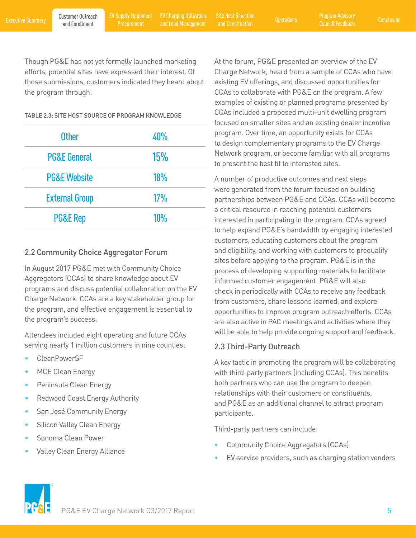and Construction

Though PG&E has not yet formally launched marketing efforts, potential sites have expressed their interest. Of those submissions, customers indicated they heard about the program through:

TABLE 2.3: SITE HOST SOURCE OF PROGRAM KNOWLEDGE

| <b>Other</b>            | 40%        |
|-------------------------|------------|
| <b>PG&amp;E General</b> | 15%        |
| <b>PG&amp;E Website</b> | <b>18%</b> |
| <b>External Group</b>   | 17%        |
| <b>PG&amp;E Rep</b>     | 10%        |

#### 2.2 Community Choice Aggregator Forum

In August 2017 PG&E met with Community Choice Aggregators (CCAs) to share knowledge about EV programs and discuss potential collaboration on the EV Charge Network. CCAs are a key stakeholder group for the program, and effective engagement is essential to the program's success.

Attendees included eight operating and future CCAs serving nearly 1 million customers in nine counties:

- CleanPowerSF
- MCE Clean Energy
- Peninsula Clean Energy
- Redwood Coast Energy Authority
- San José Community Energy
- Silicon Valley Clean Energy
- Sonoma Clean Power
- Valley Clean Energy Alliance

At the forum, PG&E presented an overview of the EV Charge Network, heard from a sample of CCAs who have existing EV offerings, and discussed opportunities for CCAs to collaborate with PG&E on the program. A few examples of existing or planned programs presented by CCAs included a proposed multi-unit dwelling program focused on smaller sites and an existing dealer incentive program. Over time, an opportunity exists for CCAs to design complementary programs to the EV Charge Network program, or become familiar with all programs to present the best fit to interested sites.

A number of productive outcomes and next steps were generated from the forum focused on building partnerships between PG&E and CCAs. CCAs will become a critical resource in reaching potential customers interested in participating in the program. CCAs agreed to help expand PG&E's bandwidth by engaging interested customers, educating customers about the program and eligibility, and working with customers to prequalify sites before applying to the program. PG&E is in the process of developing supporting materials to facilitate informed customer engagement. PG&E will also check in periodically with CCAs to receive any feedback from customers, share lessons learned, and explore opportunities to improve program outreach efforts. CCAs are also active in PAC meetings and activities where they will be able to help provide ongoing support and feedback.

#### 2.3 Third-Party Outreach

A key tactic in promoting the program will be collaborating with third-party partners (including CCAs). This benefits both partners who can use the program to deepen relationships with their customers or constituents, and PG&E as an additional channel to attract program participants.

Third-party partners can include:

- Community Choice Aggregators (CCAs)
- EV service providers, such as charging station vendors

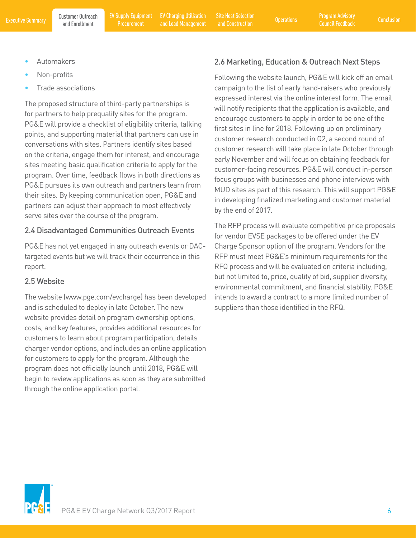- Automakers
- Non-profits
- Trade associations

The proposed structure of third-party partnerships is for partners to help prequalify sites for the program. PG&E will provide a checklist of eligibility criteria, talking points, and supporting material that partners can use in conversations with sites. Partners identify sites based on the criteria, engage them for interest, and encourage sites meeting basic qualification criteria to apply for the program. Over time, feedback flows in both directions as PG&E pursues its own outreach and partners learn from their sites. By keeping communication open, PG&E and partners can adjust their approach to most effectively serve sites over the course of the program.

### 2.4 Disadvantaged Communities Outreach Events

PG&E has not yet engaged in any outreach events or DACtargeted events but we will track their occurrence in this report.

### 2.5 Website

The website (www.pge.com/evcharge) has been developed and is scheduled to deploy in late October. The new website provides detail on program ownership options, costs, and key features, provides additional resources for customers to learn about program participation, details charger vendor options, and includes an online application for customers to apply for the program. Although the program does not officially launch until 2018, PG&E will begin to review applications as soon as they are submitted through the online application portal.

### 2.6 Marketing, Education & Outreach Next Steps

Following the website launch, PG&E will kick off an email campaign to the list of early hand-raisers who previously expressed interest via the online interest form. The email will notify recipients that the application is available, and encourage customers to apply in order to be one of the first sites in line for 2018. Following up on preliminary customer research conducted in Q2, a second round of customer research will take place in late October through early November and will focus on obtaining feedback for customer-facing resources. PG&E will conduct in-person focus groups with businesses and phone interviews with MUD sites as part of this research. This will support PG&E in developing finalized marketing and customer material by the end of 2017.

The RFP process will evaluate competitive price proposals for vendor EVSE packages to be offered under the EV Charge Sponsor option of the program. Vendors for the RFP must meet PG&E's minimum requirements for the RFQ process and will be evaluated on criteria including, but not limited to, price, quality of bid, supplier diversity, environmental commitment, and financial stability. PG&E intends to award a contract to a more limited number of suppliers than those identified in the RFQ.

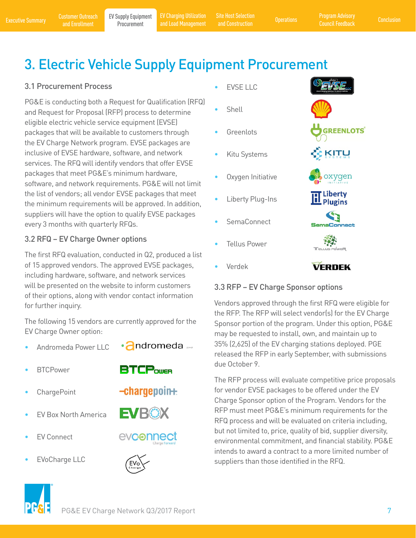Executive Summary Customer Outreach EV Supply Equipment EV Charging Utilization Site Host Selection Operations Program Advisory Conclusion<br>Executive Summary and Enrollment Procurement and Load Management and Construction C EV Charging Utilization

EV Charging Utilization Site Host Selection<br>and Load Management and Construction Construction and Construction

**GREENLOTS** 

KITU

# 3. Electric Vehicle Supply Equipment Procurement

#### 3.1 Procurement Process

PG&E is conducting both a Request for Qualification (RFQ) and Request for Proposal (RFP) process to determine eligible electric vehicle service equipment (EVSE) packages that will be available to customers through the EV Charge Network program. EVSE packages are inclusive of EVSE hardware, software, and network services. The RFQ will identify vendors that offer EVSE packages that meet PG&E's minimum hardware, software, and network requirements. PG&E will not limit the list of vendors; all vendor EVSE packages that meet the minimum requirements will be approved. In addition, suppliers will have the option to qualify EVSE packages every 3 months with quarterly RFQs.

### 3.2 RFQ – EV Charge Owner options

The first RFQ evaluation, conducted in Q2, produced a list of 15 approved vendors. The approved EVSE packages, including hardware, software, and network services will be presented on the website to inform customers of their options, along with vendor contact information for further inquiry.

The following 15 vendors are currently approved for the EV Charge Owner option:

- Andromeda Power LLC
- •**andromeda**

**BTCP**over

 $-charge point.$ 

- BTCPower
- ChargePoint
- EV Box North America
- **EV Connect**
- EVoCharge LLC



EVBOX



- **EVSE LLC**
- **Shell**
- **Greenlots**
- Kitu Systems
- Oxygen Initiative
- Liberty Plug-Ins
- SemaConnect
- **Tellus Power**
- Verdek





### 3.3 RFP – EV Charge Sponsor options

Vendors approved through the first RFQ were eligible for the RFP. The RFP will select vendor(s) for the EV Charge Sponsor portion of the program. Under this option, PG&E may be requested to install, own, and maintain up to 35% (2,625) of the EV charging stations deployed. PGE released the RFP in early September, with submissions due October 9.

The RFP process will evaluate competitive price proposals for vendor EVSE packages to be offered under the EV Charge Sponsor option of the Program. Vendors for the RFP must meet PG&E's minimum requirements for the RFQ process and will be evaluated on criteria including, but not limited to, price, quality of bid, supplier diversity, environmental commitment, and financial stability. PG&E intends to award a contract to a more limited number of suppliers than those identified in the RFQ.

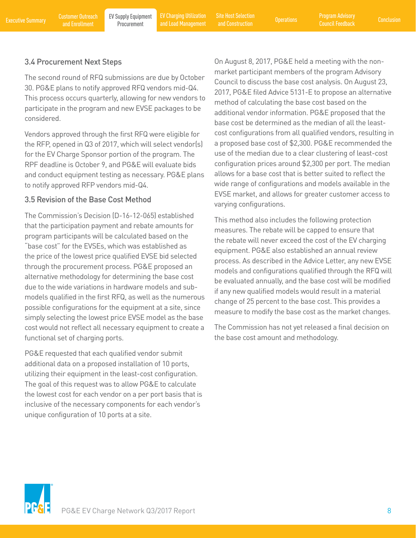and Load Management Operations Site Host Selection and Construction

#### 3.4 Procurement Next Steps

The second round of RFQ submissions are due by October 30. PG&E plans to notify approved RFQ vendors mid-Q4. This process occurs quarterly, allowing for new vendors to participate in the program and new EVSE packages to be considered.

Vendors approved through the first RFQ were eligible for the RFP, opened in Q3 of 2017, which will select vendor(s) for the EV Charge Sponsor portion of the program. The RPF deadline is October 9, and PG&E will evaluate bids and conduct equipment testing as necessary. PG&E plans to notify approved RFP vendors mid-Q4.

### 3.5 Revision of the Base Cost Method

The Commission's Decision (D-16-12-065) established that the participation payment and rebate amounts for program participants will be calculated based on the "base cost" for the EVSEs, which was established as the price of the lowest price qualified EVSE bid selected through the procurement process. PG&E proposed an alternative methodology for determining the base cost due to the wide variations in hardware models and submodels qualified in the first RFQ, as well as the numerous possible configurations for the equipment at a site, since simply selecting the lowest price EVSE model as the base cost would not reflect all necessary equipment to create a functional set of charging ports.

PG&E requested that each qualified vendor submit additional data on a proposed installation of 10 ports, utilizing their equipment in the least-cost configuration. The goal of this request was to allow PG&E to calculate the lowest cost for each vendor on a per port basis that is inclusive of the necessary components for each vendor's unique configuration of 10 ports at a site.

On August 8, 2017, PG&E held a meeting with the nonmarket participant members of the program Advisory Council to discuss the base cost analysis. On August 23, 2017, PG&E filed Advice 5131-E to propose an alternative method of calculating the base cost based on the additional vendor information. PG&E proposed that the base cost be determined as the median of all the leastcost configurations from all qualified vendors, resulting in a proposed base cost of \$2,300. PG&E recommended the use of the median due to a clear clustering of least-cost configuration prices around \$2,300 per port. The median allows for a base cost that is better suited to reflect the wide range of configurations and models available in the EVSE market, and allows for greater customer access to varying configurations.

This method also includes the following protection measures. The rebate will be capped to ensure that the rebate will never exceed the cost of the EV charging equipment. PG&E also established an annual review process. As described in the Advice Letter, any new EVSE models and configurations qualified through the RFQ will be evaluated annually, and the base cost will be modified if any new qualified models would result in a material change of 25 percent to the base cost. This provides a measure to modify the base cost as the market changes.

The Commission has not yet released a final decision on the base cost amount and methodology.

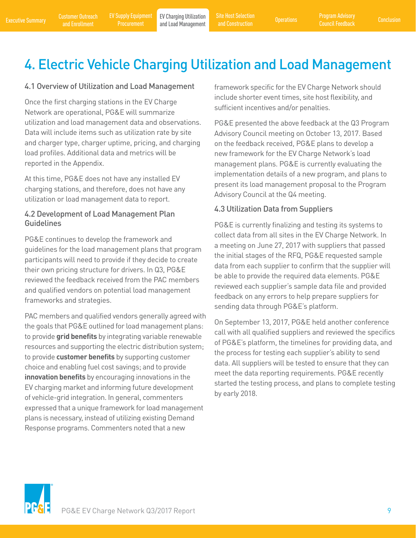# 4. Electric Vehicle Charging Utilization and Load Management

#### 4.1 Overview of Utilization and Load Management

Once the first charging stations in the EV Charge Network are operational, PG&E will summarize utilization and load management data and observations. Data will include items such as utilization rate by site and charger type, charger uptime, pricing, and charging load profiles. Additional data and metrics will be reported in the Appendix.

At this time, PG&E does not have any installed EV charging stations, and therefore, does not have any utilization or load management data to report.

#### 4.2 Development of Load Management Plan Guidelines

PG&E continues to develop the framework and guidelines for the load management plans that program participants will need to provide if they decide to create their own pricing structure for drivers. In Q3, PG&E reviewed the feedback received from the PAC members and qualified vendors on potential load management frameworks and strategies.

PAC members and qualified vendors generally agreed with the goals that PG&E outlined for load management plans: to provide **grid benefits** by integrating variable renewable resources and supporting the electric distribution system; to provide **customer benefits** by supporting customer choice and enabling fuel cost savings; and to provide **innovation benefits** by encouraging innovations in the EV charging market and informing future development of vehicle-grid integration. In general, commenters expressed that a unique framework for load management plans is necessary, instead of utilizing existing Demand Response programs. Commenters noted that a new

framework specific for the EV Charge Network should include shorter event times, site host flexibility, and sufficient incentives and/or penalties.

PG&E presented the above feedback at the Q3 Program Advisory Council meeting on October 13, 2017. Based on the feedback received, PG&E plans to develop a new framework for the EV Charge Network's load management plans. PG&E is currently evaluating the implementation details of a new program, and plans to present its load management proposal to the Program Advisory Council at the Q4 meeting.

#### 4.3 Utilization Data from Suppliers

PG&E is currently finalizing and testing its systems to collect data from all sites in the EV Charge Network. In a meeting on June 27, 2017 with suppliers that passed the initial stages of the RFQ, PG&E requested sample data from each supplier to confirm that the supplier will be able to provide the required data elements. PG&E reviewed each supplier's sample data file and provided feedback on any errors to help prepare suppliers for sending data through PG&E's platform.

On September 13, 2017, PG&E held another conference call with all qualified suppliers and reviewed the specifics of PG&E's platform, the timelines for providing data, and the process for testing each supplier's ability to send data. All suppliers will be tested to ensure that they can meet the data reporting requirements. PG&E recently started the testing process, and plans to complete testing by early 2018.

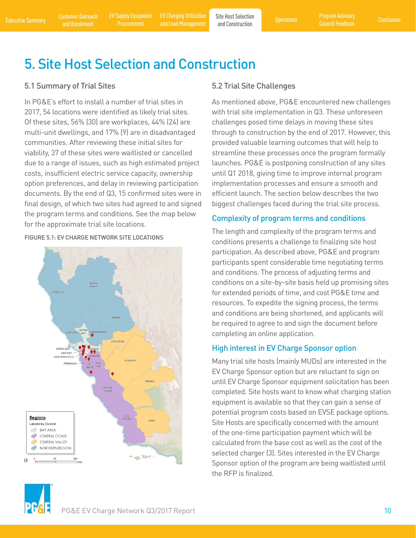Customer Outreach

**Procurement** 

Executive Summary and Enrollment EV Supply Equipment EV Charging Utilization Site Host Selection Proprations Program Advisory<br>Executive Summary and Enrollment Procurement and Load Management and Construction Council Feedba EV Charging Utilization EV Charging Utilization Site Host Selection<br>and Load Management and Construction Operations

and Construction

# 5. Site Host Selection and Construction

#### 5.1 Summary of Trial Sites

In PG&E's effort to install a number of trial sites in 2017, 54 locations were identified as likely trial sites. Of these sites, 56% (30) are workplaces, 44% (24) are multi-unit dwellings, and 17% (9) are in disadvantaged communities. After reviewing these initial sites for viability, 37 of these sites were waitlisted or cancelled due to a range of issues, such as high estimated project costs, insufficient electric service capacity, ownership option preferences, and delay in reviewing participation documents. By the end of Q3, 15 confirmed sites were in final design, of which two sites had agreed to and signed the program terms and conditions. See the map below for the approximate trial site locations.

#### FIGURE 5.1: EV CHARGE NETWORK SITE LOCATIONS



#### 5.2 Trial Site Challenges

As mentioned above, PG&E encountered new challenges with trial site implementation in Q3. These unforeseen challenges posed time delays in moving these sites through to construction by the end of 2017. However, this provided valuable learning outcomes that will help to streamline these processes once the program formally launches. PG&E is postponing construction of any sites until Q1 2018, giving time to improve internal program implementation processes and ensure a smooth and efficient launch. The section below describes the two biggest challenges faced during the trial site process.

### Complexity of program terms and conditions

The length and complexity of the program terms and conditions presents a challenge to finalizing site host participation. As described above, PG&E and program participants spent considerable time negotiating terms and conditions. The process of adjusting terms and conditions on a site-by-site basis held up promising sites for extended periods of time, and cost PG&E time and resources. To expedite the signing process, the terms and conditions are being shortened, and applicants will be required to agree to and sign the document before completing an online application.

#### High interest in EV Charge Sponsor option

Many trial site hosts (mainly MUDs) are interested in the EV Charge Sponsor option but are reluctant to sign on until EV Charge Sponsor equipment solicitation has been completed. Site hosts want to know what charging station equipment is available so that they can gain a sense of potential program costs based on EVSE package options. Site Hosts are specifically concerned with the amount of the one-time participation payment which will be calculated from the base cost as well as the cost of the selected charger (3). Sites interested in the EV Charge Sponsor option of the program are being waitlisted until the RFP is finalized.

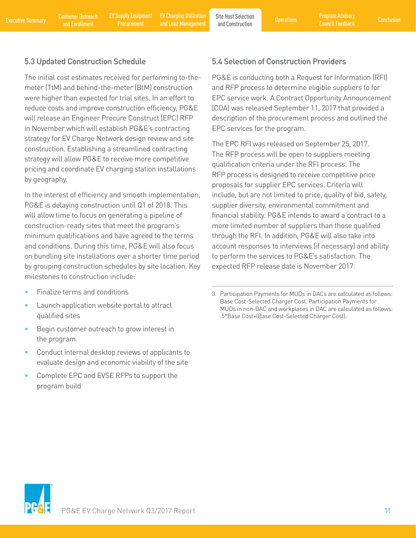Executive Summary and Enrollment EV Supply Equipment EV Charging Utilization Site Host Selection Proprations Program Advisory<br>Executive Summary and Enrollment Procurement and Load Management and Construction Council Feedba EV Charging Utilization EV Charging Utilization Site Host Selection<br>and Load Management and Construction

and Construction

### 5.3 Updated Construction Schedule

The initial cost estimates received for performing to-themeter (TtM) and behind-the-meter (BtM) construction were higher than expected for trial sites. In an effort to reduce costs and improve construction efficiency, PG&E will release an Engineer Procure Construct (EPC) RFP in November which will establish PG&E's contracting strategy for EV Charge Network design review and site construction. Establishing a streamlined contracting strategy will allow PG&E to receive more competitive pricing and coordinate EV charging station installations by geography.

In the interest of efficiency and smooth implementation, PG&E is delaying construction until Q1 of 2018. This will allow time to focus on generating a pipeline of construction-ready sites that meet the program's minimum qualifications and have agreed to the terms and conditions. During this time, PG&E will also focus on bundling site installations over a shorter time period by grouping construction schedules by site location. Key milestones to construction include:

- Finalize terms and conditions
- Launch application website portal to attract qualified sites
- Begin customer outreach to grow interest in the program
- Conduct internal desktop reviews of applicants to evaluate design and economic viability of the site
- Complete EPC and EVSE RFPs to support the program build

#### 5.4 Selection of Construction Providers

PG&E is conducting both a Request for Information (RFI) and RFP process to determine eligible suppliers to for EPC service work. A Contract Opportunity Announcement (COA) was released September 11, 2017 that provided a description of the procurement process and outlined the EPC services for the program.

The EPC RFI was released on September 25, 2017. The RFP process will be open to suppliers meeting qualification criteria under the RFI process. The RFP process is designed to receive competitive price proposals for supplier EPC services. Criteria will include, but are not limited to price, quality of bid, safety, supplier diversity, environmental commitment and financial stability. PG&E intends to award a contract to a more limited number of suppliers than those qualified through the RFI. In addition, PG&E will also take into account responses to interviews (if necessary) and ability to perform the services to PG&E's satisfaction. The expected RFP release date is November 2017.



<sup>3.</sup> Participation Payments for MUDs in DACs are calculated as follows: Base Cost-Selected Charger Cost. Participation Payments for MUDs in non-DAC and workplaces in DAC are calculated as follows: .5\*Base Cost+(Base Cost-Selected Charger Cost).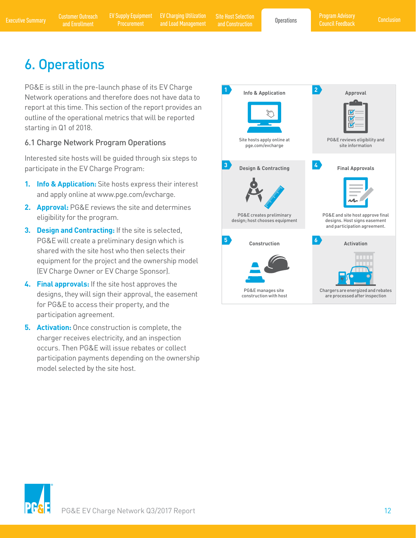and Construction

# 6. Operations

PG&E is still in the pre-launch phase of its EV Charge Network operations and therefore does not have data to report at this time. This section of the report provides an outline of the operational metrics that will be reported starting in Q1 of 2018.

### 6.1 Charge Network Program Operations

Interested site hosts will be guided through six steps to participate in the EV Charge Program:

- **1. Info & Application:** Site hosts express their interest and apply online at www.pge.com/evcharge.
- **2. Approval:** PG&E reviews the site and determines eligibility for the program.
- **3. Design and Contracting:** If the site is selected, PG&E will create a preliminary design which is shared with the site host who then selects their equipment for the project and the ownership model (EV Charge Owner or EV Charge Sponsor).
- **4. Final approvals:** If the site host approves the designs, they will sign their approval, the easement for PG&E to access their property, and the participation agreement.
- **5. Activation:** Once construction is complete, the charger receives electricity, and an inspection occurs. Then PG&E will issue rebates or collect participation payments depending on the ownership model selected by the site host.



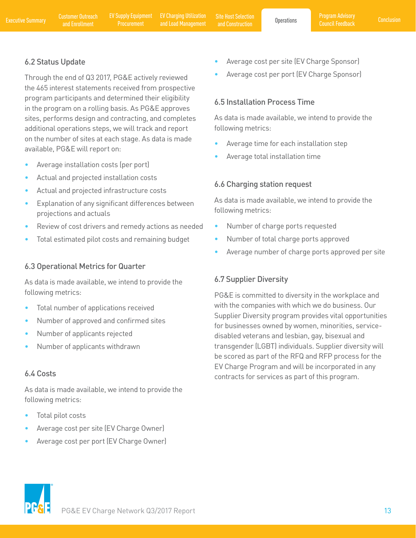### 6.2 Status Update

Through the end of Q3 2017, PG&E actively reviewed the 465 interest statements received from prospective program participants and determined their eligibility in the program on a rolling basis. As PG&E approves sites, performs design and contracting, and completes additional operations steps, we will track and report on the number of sites at each stage. As data is made available, PG&E will report on:

- Average installation costs (per port)
- Actual and projected installation costs
- Actual and projected infrastructure costs
- Explanation of any significant differences between projections and actuals
- Review of cost drivers and remedy actions as needed
- Total estimated pilot costs and remaining budget

#### 6.3 Operational Metrics for Quarter

As data is made available, we intend to provide the following metrics:

- Total number of applications received
- Number of approved and confirmed sites
- Number of applicants rejected
- Number of applicants withdrawn

### 6.4 Costs

As data is made available, we intend to provide the following metrics:

- Total pilot costs
- Average cost per site (EV Charge Owner)
- Average cost per port (EV Charge Owner)
- Average cost per site (EV Charge Sponsor)
- Average cost per port (EV Charge Sponsor)

### 6.5 Installation Process Time

As data is made available, we intend to provide the following metrics:

- Average time for each installation step
- Average total installation time

#### 6.6 Charging station request

As data is made available, we intend to provide the following metrics:

- Number of charge ports requested
- Number of total charge ports approved
- Average number of charge ports approved per site

### 6.7 Supplier Diversity

PG&E is committed to diversity in the workplace and with the companies with which we do business. Our Supplier Diversity program provides vital opportunities for businesses owned by women, minorities, servicedisabled veterans and lesbian, gay, bisexual and transgender (LGBT) individuals. Supplier diversity will be scored as part of the RFQ and RFP process for the EV Charge Program and will be incorporated in any contracts for services as part of this program.

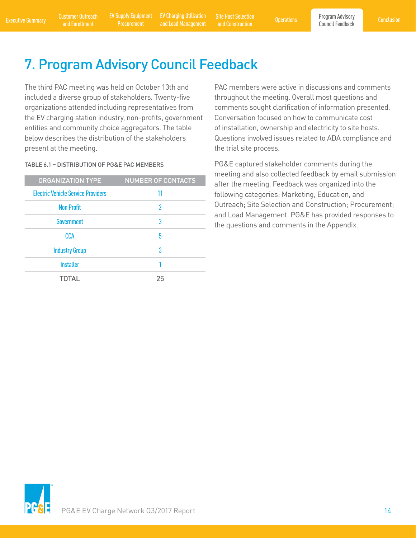Executive Summary Customer Outreach EV Supply Equipment EV Charging Utilization Site Host Selection Operations Program Advisory Conclusion<br>Council Feedback and Enrollment Procurement and Load Management and Construction Co EV Charging Utilization EV Charging Utilization Site Host Selection<br>and Load Management and Construction Construction

and Construction

# 7. Program Advisory Council Feedback

The third PAC meeting was held on October 13th and included a diverse group of stakeholders. Twenty-five organizations attended including representatives from the EV charging station industry, non-profits, government entities and community choice aggregators. The table below describes the distribution of the stakeholders present at the meeting.

#### TABLE 6.1 – DISTRIBUTION OF PG&E PAC MEMBERS

| <b>ORGANIZATION TYPE</b>                  | <b>NUMBER OF CONTACTS</b> |
|-------------------------------------------|---------------------------|
| <b>Electric Vehicle Service Providers</b> | 11                        |
| <b>Non Profit</b>                         | 2                         |
| Government                                | 3                         |
| CCA                                       | 5                         |
| <b>Industry Group</b>                     | 3                         |
| <b>Installer</b>                          |                           |
| <b>TOTAL</b>                              | 25                        |
|                                           |                           |

PAC members were active in discussions and comments throughout the meeting. Overall most questions and comments sought clarification of information presented. Conversation focused on how to communicate cost of installation, ownership and electricity to site hosts. Questions involved issues related to ADA compliance and the trial site process.

PG&E captured stakeholder comments during the meeting and also collected feedback by email submission after the meeting. Feedback was organized into the following categories: Marketing, Education, and Outreach; Site Selection and Construction; Procurement; and Load Management. PG&E has provided responses to the questions and comments in the Appendix.

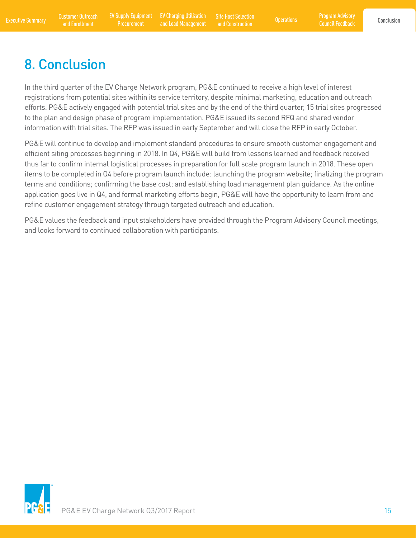Program Advisory Council Feedback

# 8. Conclusion

In the third quarter of the EV Charge Network program, PG&E continued to receive a high level of interest registrations from potential sites within its service territory, despite minimal marketing, education and outreach efforts. PG&E actively engaged with potential trial sites and by the end of the third quarter, 15 trial sites progressed to the plan and design phase of program implementation. PG&E issued its second RFQ and shared vendor information with trial sites. The RFP was issued in early September and will close the RFP in early October.

PG&E will continue to develop and implement standard procedures to ensure smooth customer engagement and efficient siting processes beginning in 2018. In Q4, PG&E will build from lessons learned and feedback received thus far to confirm internal logistical processes in preparation for full scale program launch in 2018. These open items to be completed in Q4 before program launch include: launching the program website; finalizing the program terms and conditions; confirming the base cost; and establishing load management plan guidance. As the online application goes live in Q4, and formal marketing efforts begin, PG&E will have the opportunity to learn from and refine customer engagement strategy through targeted outreach and education.

PG&E values the feedback and input stakeholders have provided through the Program Advisory Council meetings, and looks forward to continued collaboration with participants.

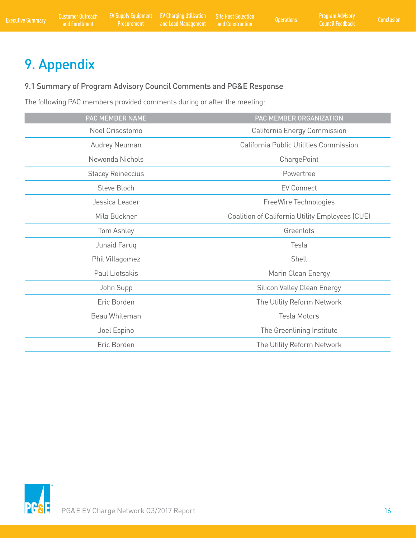# 9. Appendix

# 9.1 Summary of Program Advisory Council Comments and PG&E Response

The following PAC members provided comments during or after the meeting:

| PAC MEMBER NAME          | PAC MEMBER ORGANIZATION                         |
|--------------------------|-------------------------------------------------|
| Noel Crisostomo          | California Energy Commission                    |
| Audrey Neuman            | California Public Utilities Commission          |
| Newonda Nichols          | ChargePoint                                     |
| <b>Stacey Reineccius</b> | Powertree                                       |
| Steve Bloch              | <b>EV Connect</b>                               |
| Jessica Leader           | FreeWire Technologies                           |
| Mila Buckner             | Coalition of California Utility Employees (CUE) |
| Tom Ashley               | Greenlots                                       |
| Junaid Faruq             | Tesla                                           |
| Phil Villagomez          | Shell                                           |
| Paul Liotsakis           | Marin Clean Energy                              |
| John Supp                | Silicon Valley Clean Energy                     |
| Eric Borden              | The Utility Reform Network                      |
| Beau Whiteman            | <b>Tesla Motors</b>                             |
| Joel Espino              | The Greenlining Institute                       |
| Eric Borden              | The Utility Reform Network                      |
|                          |                                                 |

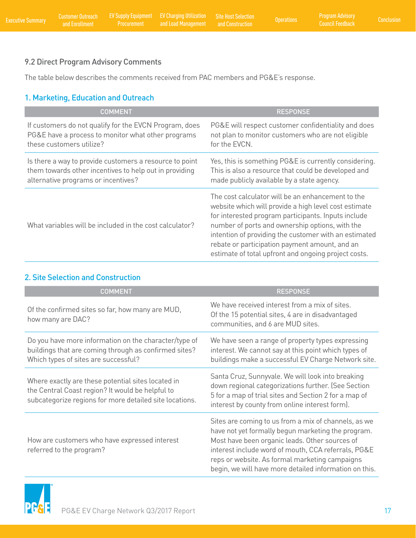# 9.2 Direct Program Advisory Comments

The table below describes the comments received from PAC members and PG&E's response.

## 1. Marketing, Education and Outreach

| <b>COMMENT</b>                                          | <b>RESPONSE</b>                                                                                                                                                                                                                                                                                                                                                                         |
|---------------------------------------------------------|-----------------------------------------------------------------------------------------------------------------------------------------------------------------------------------------------------------------------------------------------------------------------------------------------------------------------------------------------------------------------------------------|
| If customers do not qualify for the EVCN Program, does  | PG&E will respect customer confidentiality and does                                                                                                                                                                                                                                                                                                                                     |
| PG&E have a process to monitor what other programs      | not plan to monitor customers who are not eligible                                                                                                                                                                                                                                                                                                                                      |
| these customers utilize?                                | for the EVCN.                                                                                                                                                                                                                                                                                                                                                                           |
| Is there a way to provide customers a resource to point | Yes, this is something PG&E is currently considering.                                                                                                                                                                                                                                                                                                                                   |
| them towards other incentives to help out in providing  | This is also a resource that could be developed and                                                                                                                                                                                                                                                                                                                                     |
| alternative programs or incentives?                     | made publicly available by a state agency.                                                                                                                                                                                                                                                                                                                                              |
| What variables will be included in the cost calculator? | The cost calculator will be an enhancement to the<br>website which will provide a high level cost estimate<br>for interested program participants. Inputs include<br>number of ports and ownership options, with the<br>intention of providing the customer with an estimated<br>rebate or participation payment amount, and an<br>estimate of total upfront and ongoing project costs. |

### 2. Site Selection and Construction

| <b>COMMENT</b>                                                                                                                                                    | <b>RESPONSE</b>                                                                                                                                                                                                                                                                                                                 |
|-------------------------------------------------------------------------------------------------------------------------------------------------------------------|---------------------------------------------------------------------------------------------------------------------------------------------------------------------------------------------------------------------------------------------------------------------------------------------------------------------------------|
| Of the confirmed sites so far, how many are MUD,<br>how many are DAC?                                                                                             | We have received interest from a mix of sites.<br>Of the 15 potential sites, 4 are in disadvantaged<br>communities, and 6 are MUD sites.                                                                                                                                                                                        |
| Do you have more information on the character/type of<br>buildings that are coming through as confirmed sites?<br>Which types of sites are successful?            | We have seen a range of property types expressing<br>interest. We cannot say at this point which types of<br>buildings make a successful EV Charge Network site.                                                                                                                                                                |
| Where exactly are these potential sites located in<br>the Central Coast region? It would be helpful to<br>subcategorize regions for more detailed site locations. | Santa Cruz, Sunnyvale. We will look into breaking<br>down regional categorizations further. (See Section<br>5 for a map of trial sites and Section 2 for a map of<br>interest by county from online interest form).                                                                                                             |
| How are customers who have expressed interest<br>referred to the program?                                                                                         | Sites are coming to us from a mix of channels, as we<br>have not yet formally begun marketing the program.<br>Most have been organic leads. Other sources of<br>interest include word of mouth, CCA referrals, PG&E<br>reps or website. As formal marketing campaigns<br>begin, we will have more detailed information on this. |

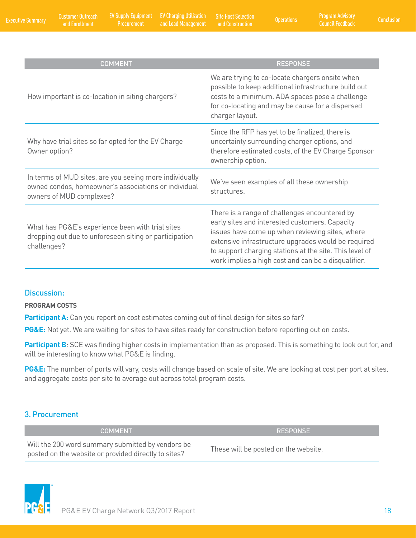| <b>COMMENT</b>                                                                                                                              | <b>RESPONSE</b>                                                                                                                                                                                                                                                                                                             |
|---------------------------------------------------------------------------------------------------------------------------------------------|-----------------------------------------------------------------------------------------------------------------------------------------------------------------------------------------------------------------------------------------------------------------------------------------------------------------------------|
| How important is co-location in siting chargers?                                                                                            | We are trying to co-locate chargers onsite when<br>possible to keep additional infrastructure build out<br>costs to a minimum. ADA spaces pose a challenge<br>for co-locating and may be cause for a dispersed<br>charger layout.                                                                                           |
| Why have trial sites so far opted for the EV Charge<br>Owner option?                                                                        | Since the RFP has yet to be finalized, there is<br>uncertainty surrounding charger options, and<br>therefore estimated costs, of the EV Charge Sponsor<br>ownership option.                                                                                                                                                 |
| In terms of MUD sites, are you seeing more individually<br>owned condos, homeowner's associations or individual<br>owners of MUD complexes? | We've seen examples of all these ownership<br>structures.                                                                                                                                                                                                                                                                   |
| What has PG&E's experience been with trial sites<br>dropping out due to unforeseen siting or participation<br>challenges?                   | There is a range of challenges encountered by<br>early sites and interested customers. Capacity<br>issues have come up when reviewing sites, where<br>extensive infrastructure upgrades would be required<br>to support charging stations at the site. This level of<br>work implies a high cost and can be a disqualifier. |

#### Discussion:

#### **PROGRAM COSTS**

Participant A: Can you report on cost estimates coming out of final design for sites so far?

**PG&E:** Not yet. We are waiting for sites to have sites ready for construction before reporting out on costs.

Participant B: SCE was finding higher costs in implementation than as proposed. This is something to look out for, and will be interesting to know what PG&E is finding.

**PG&E:** The number of ports will vary, costs will change based on scale of site. We are looking at cost per port at sites, and aggregate costs per site to average out across total program costs.

#### 3. Procurement

COMMENT AND RESPONSE

Will the 200 word summary submitted by vendors be posted on the website or provided directly to sites?<br>These will be posted on the website.

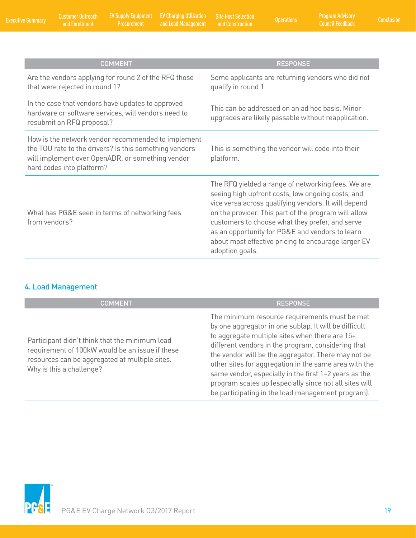Customer Outreach

and Enrollment Executive Summary Conclusion EV Supply Equipment EV Charging Utilization and Load Management Operations Site Host Selection

| <b>COMMENT</b>                                                                                                                                                                                | <b>RESPONSE</b>                                                                                                                                                                                                                                                                                                                                                                                         |
|-----------------------------------------------------------------------------------------------------------------------------------------------------------------------------------------------|---------------------------------------------------------------------------------------------------------------------------------------------------------------------------------------------------------------------------------------------------------------------------------------------------------------------------------------------------------------------------------------------------------|
| Are the vendors applying for round 2 of the RFQ those<br>that were rejected in round 1?                                                                                                       | Some applicants are returning vendors who did not<br>qualify in round 1.                                                                                                                                                                                                                                                                                                                                |
| In the case that vendors have updates to approved<br>hardware or software services, will vendors need to<br>resubmit an RFQ proposal?                                                         | This can be addressed on an ad hoc basis. Minor<br>upgrades are likely passable without reapplication.                                                                                                                                                                                                                                                                                                  |
| How is the network vendor recommended to implement<br>the TOU rate to the drivers? Is this something vendors<br>will implement over OpenADR, or something vendor<br>hard codes into platform? | This is something the vendor will code into their<br>platform.                                                                                                                                                                                                                                                                                                                                          |
| What has PG&E seen in terms of networking fees<br>from vendors?                                                                                                                               | The RFQ yielded a range of networking fees. We are<br>seeing high upfront costs, low ongoing costs, and<br>vice versa across qualifying vendors. It will depend<br>on the provider. This part of the program will allow<br>customers to choose what they prefer, and serve<br>as an opportunity for PG&E and vendors to learn<br>about most effective pricing to encourage larger EV<br>adoption goals. |

# 4. Load Management

| <b>COMMENT</b>                                                                                                                                                                  | <b>RESPONSE</b>                                                                                                                                                                                                                                                                                                                                                                                                                                                                                        |
|---------------------------------------------------------------------------------------------------------------------------------------------------------------------------------|--------------------------------------------------------------------------------------------------------------------------------------------------------------------------------------------------------------------------------------------------------------------------------------------------------------------------------------------------------------------------------------------------------------------------------------------------------------------------------------------------------|
| Participant didn't think that the minimum load<br>requirement of 100kW would be an issue if these<br>resources can be aggregated at multiple sites.<br>Why is this a challenge? | The minimum resource requirements must be met<br>by one aggregator in one sublap. It will be difficult<br>to aggregate multiple sites when there are 15+<br>different vendors in the program, considering that<br>the vendor will be the aggregator. There may not be<br>other sites for aggregation in the same area with the<br>same vendor, especially in the first 1-2 years as the<br>program scales up (especially since not all sites will<br>be participating in the load management program). |

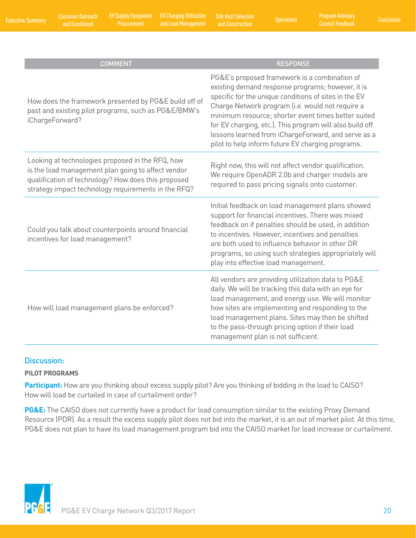EV Charging Utilization Site Host Selection<br>and Load Management and Construction Operations

| <b>COMMENT</b>                                                                                                                                                                                                       | <b>RESPONSE</b>                                                                                                                                                                                                                                                                                                                                                                                                                                |
|----------------------------------------------------------------------------------------------------------------------------------------------------------------------------------------------------------------------|------------------------------------------------------------------------------------------------------------------------------------------------------------------------------------------------------------------------------------------------------------------------------------------------------------------------------------------------------------------------------------------------------------------------------------------------|
| How does the framework presented by PG&E build off of<br>past and existing pilot programs, such as PG&E/BMW's<br>iChargeForward?                                                                                     | PG&E's proposed framework is a combination of<br>existing demand response programs; however, it is<br>specific for the unique conditions of sites in the EV<br>Charge Network program (i.e. would not require a<br>minimum resource; shorter event times better suited<br>for EV charging, etc.). This program will also build off<br>lessons learned from iChargeForward, and serve as a<br>pilot to help inform future EV charging programs. |
| Looking at technologies proposed in the RFQ, how<br>is the load management plan going to affect vendor<br>qualification of technology? How does this proposed<br>strategy impact technology requirements in the RFQ? | Right now, this will not affect vendor qualification.<br>We require OpenADR 2.0b and charger models are<br>required to pass pricing signals onto customer.                                                                                                                                                                                                                                                                                     |
| Could you talk about counterpoints around financial<br>incentives for load management?                                                                                                                               | Initial feedback on load management plans showed<br>support for financial incentives. There was mixed<br>feedback on if penalties should be used, in addition<br>to incentives. However, incentives and penalties<br>are both used to influence behavior in other DR<br>programs, so using such strategies appropriately will<br>play into effective load management.                                                                          |
| How will load management plans be enforced?                                                                                                                                                                          | All vendors are providing utilization data to PG&E<br>daily. We will be tracking this data with an eye for<br>load management, and energy use. We will monitor<br>how sites are implementing and responding to the<br>load management plans. Sites may then be shifted<br>to the pass-through pricing option if their load<br>management plan is not sufficient.                                                                               |

#### Discussion:

#### **PILOT PROGRAMS**

**Participant:** How are you thinking about excess supply pilot? Are you thinking of bidding in the load to CAISO? How will load be curtailed in case of curtailment order?

**PG&E:** The CAISO does not currently have a product for load consumption similar to the existing Proxy Demand Resource (PDR). As a result the excess supply pilot does not bid into the market, it is an out of market pilot. At this time, PG&E does not plan to have its load management program bid into the CAISO market for load increase or curtailment.

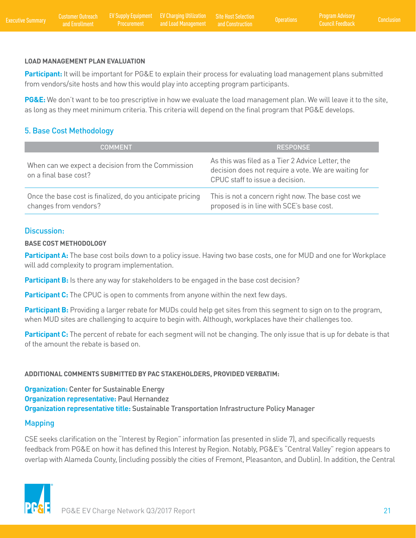#### **LOAD MANAGEMENT PLAN EVALUATION**

**Participant:** It will be important for PG&E to explain their process for evaluating load management plans submitted from vendors/site hosts and how this would play into accepting program participants.

**PG&E:** We don't want to be too prescriptive in how we evaluate the load management plan. We will leave it to the site, as long as they meet minimum criteria. This criteria will depend on the final program that PG&E develops.

### 5. Base Cost Methodology

| <b>COMMENT</b>                                                                      | <b>RESPONSE</b>                                                                                                                             |
|-------------------------------------------------------------------------------------|---------------------------------------------------------------------------------------------------------------------------------------------|
| When can we expect a decision from the Commission<br>on a final base cost?          | As this was filed as a Tier 2 Advice Letter, the<br>decision does not require a vote. We are waiting for<br>CPUC staff to issue a decision. |
| Once the base cost is finalized, do you anticipate pricing<br>changes from vendors? | This is not a concern right now. The base cost we<br>proposed is in line with SCE's base cost.                                              |

#### Discussion:

#### **BASE COST METHODOLOGY**

**Participant A:** The base cost boils down to a policy issue. Having two base costs, one for MUD and one for Workplace will add complexity to program implementation.

Participant B: Is there any way for stakeholders to be engaged in the base cost decision?

**Participant C:** The CPUC is open to comments from anyone within the next few days.

Participant B: Providing a larger rebate for MUDs could help get sites from this segment to sign on to the program, when MUD sites are challenging to acquire to begin with. Although, workplaces have their challenges too.

**Participant C:** The percent of rebate for each segment will not be changing. The only issue that is up for debate is that of the amount the rebate is based on.

#### **ADDITIONAL COMMENTS SUBMITTED BY PAC STAKEHOLDERS, PROVIDED VERBATIM:**

**Organization:** Center for Sustainable Energy **Organization representative:** Paul Hernandez **Organization representative title:** Sustainable Transportation Infrastructure Policy Manager

#### Mapping

CSE seeks clarification on the "Interest by Region" information (as presented in slide 7), and specifically requests feedback from PG&E on how it has defined this Interest by Region. Notably, PG&E's "Central Valley" region appears to overlap with Alameda County, (including possibly the cities of Fremont, Pleasanton, and Dublin). In addition, the Central

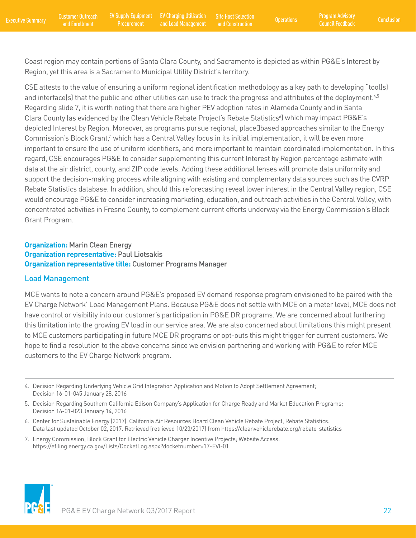Coast region may contain portions of Santa Clara County, and Sacramento is depicted as within PG&E's Interest by Region, yet this area is a Sacramento Municipal Utility District's territory.

CSE attests to the value of ensuring a uniform regional identification methodology as a key path to developing "tool(s) and interface(s) that the public and other utilities can use to track the progress and attributes of the deployment.<sup>4,5</sup> Regarding slide 7, it is worth noting that there are higher PEV adoption rates in Alameda County and in Santa Clara County (as evidenced by the Clean Vehicle Rebate Project's Rebate Statistics<sup>6</sup>) which may impact PG&E's depicted Interest by Region. Moreover, as programs pursue regional, place‐based approaches similar to the Energy Commission's Block Grant,<sup>7</sup> which has a Central Valley focus in its initial implementation, it will be even more important to ensure the use of uniform identifiers, and more important to maintain coordinated implementation. In this regard, CSE encourages PG&E to consider supplementing this current Interest by Region percentage estimate with data at the air district, county, and ZIP code levels. Adding these additional lenses will promote data uniformity and support the decision-making process while aligning with existing and complementary data sources such as the CVRP Rebate Statistics database. In addition, should this reforecasting reveal lower interest in the Central Valley region, CSE would encourage PG&E to consider increasing marketing, education, and outreach activities in the Central Valley, with concentrated activities in Fresno County, to complement current efforts underway via the Energy Commission's Block Grant Program.

#### **Organization:** Marin Clean Energy **Organization representative:** Paul Liotsakis **Organization representative title:** Customer Programs Manager

#### Load Management

MCE wants to note a concern around PG&E's proposed EV demand response program envisioned to be paired with the EV Charge Network' Load Management Plans. Because PG&E does not settle with MCE on a meter level, MCE does not have control or visibility into our customer's participation in PG&E DR programs. We are concerned about furthering this limitation into the growing EV load in our service area. We are also concerned about limitations this might present to MCE customers participating in future MCE DR programs or opt-outs this might trigger for current customers. We hope to find a resolution to the above concerns since we envision partnering and working with PG&E to refer MCE customers to the EV Charge Network program.



<sup>4.</sup> Decision Regarding Underlying Vehicle Grid Integration Application and Motion to Adopt Settlement Agreement; Decision 16-01-045 January 28, 2016

<sup>5.</sup> Decision Regarding Southern California Edison Company's Application for Charge Ready and Market Education Programs; Decision 16-01-023 January 14, 2016

<sup>6.</sup> Center for Sustainable Energy (2017). California Air Resources Board Clean Vehicle Rebate Project, Rebate Statistics. Data last updated October 02, 2017. Retrieved [retrieved 10/23/2017] from https://cleanvehiclerebate.org/rebate-statistics

<sup>7.</sup> Energy Commission; Block Grant for Electric Vehicle Charger Incentive Projects; Website Access: https://efiling.energy.ca.gov/Lists/DocketLog.aspx?docketnumber=17-EVI-01